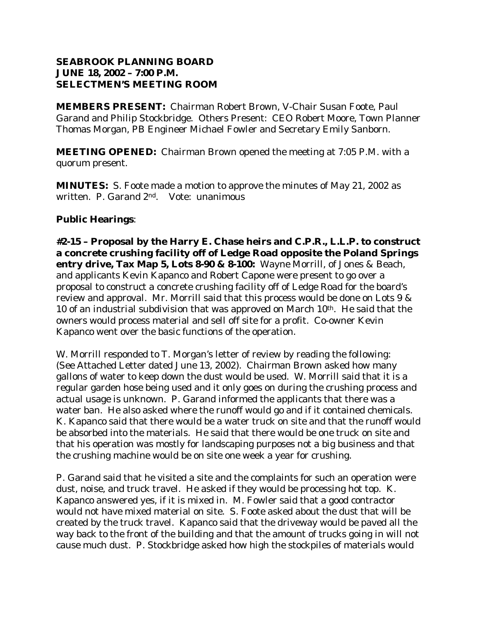### **SEABROOK PLANNING BOARD JUNE 18, 2002 – 7:00 P.M. SELECTMEN'S MEETING ROOM**

**MEMBERS PRESENT:** Chairman Robert Brown, V-Chair Susan Foote, Paul Garand and Philip Stockbridge. Others Present: CEO Robert Moore, Town Planner Thomas Morgan, PB Engineer Michael Fowler and Secretary Emily Sanborn.

**MEETING OPENED:** Chairman Brown opened the meeting at 7:05 P.M. with a quorum present.

**MINUTES:** S. Foote made a motion to approve the minutes of May 21, 2002 as written. P. Garand 2nd. Vote: unanimous

# **Public Hearings**:

**#2-15 – Proposal by the Harry E. Chase heirs and C.P.R., L.L.P. to construct a concrete crushing facility off of Ledge Road opposite the Poland Springs entry drive, Tax Map 5, Lots 8-90 & 8-100:** Wayne Morrill, of Jones & Beach, and applicants Kevin Kapanco and Robert Capone were present to go over a proposal to construct a concrete crushing facility off of Ledge Road for the board's review and approval. Mr. Morrill said that this process would be done on Lots 9 & 10 of an industrial subdivision that was approved on March 10th. He said that the owners would process material and sell off site for a profit. Co-owner Kevin Kapanco went over the basic functions of the operation.

W. Morrill responded to T. Morgan's letter of review by reading the following: (See Attached Letter dated June 13, 2002). Chairman Brown asked how many gallons of water to keep down the dust would be used. W. Morrill said that it is a regular garden hose being used and it only goes on during the crushing process and actual usage is unknown. P. Garand informed the applicants that there was a water ban. He also asked where the runoff would go and if it contained chemicals. K. Kapanco said that there would be a water truck on site and that the runoff would be absorbed into the materials. He said that there would be one truck on site and that his operation was mostly for landscaping purposes not a big business and that the crushing machine would be on site one week a year for crushing.

P. Garand said that he visited a site and the complaints for such an operation were dust, noise, and truck travel. He asked if they would be processing hot top. K. Kapanco answered yes, if it is mixed in. M. Fowler said that a good contractor would not have mixed material on site. S. Foote asked about the dust that will be created by the truck travel. Kapanco said that the driveway would be paved all the way back to the front of the building and that the amount of trucks going in will not cause much dust. P. Stockbridge asked how high the stockpiles of materials would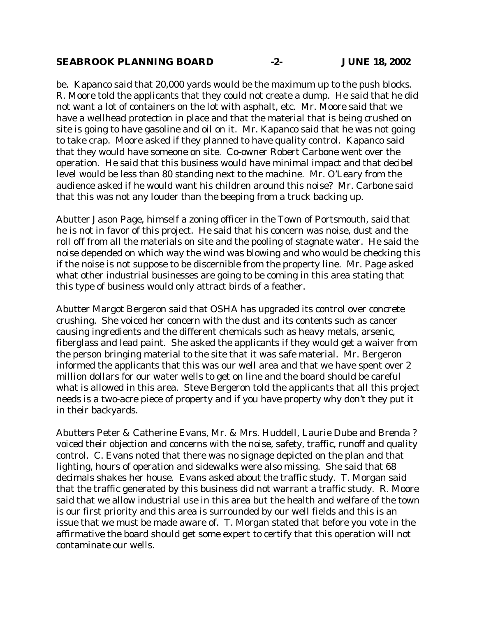#### **SEABROOK PLANNING BOARD -2- JUNE 18, 2002**

be. Kapanco said that 20,000 yards would be the maximum up to the push blocks. R. Moore told the applicants that they could not create a dump. He said that he did not want a lot of containers on the lot with asphalt, etc. Mr. Moore said that we have a wellhead protection in place and that the material that is being crushed on site is going to have gasoline and oil on it. Mr. Kapanco said that he was not going to take crap. Moore asked if they planned to have quality control. Kapanco said that they would have someone on site. Co-owner Robert Carbone went over the operation. He said that this business would have minimal impact and that decibel level would be less than 80 standing next to the machine. Mr. O'Leary from the audience asked if he would want his children around this noise? Mr. Carbone said that this was not any louder than the beeping from a truck backing up.

Abutter Jason Page, himself a zoning officer in the Town of Portsmouth, said that he is not in favor of this project. He said that his concern was noise, dust and the roll off from all the materials on site and the pooling of stagnate water. He said the noise depended on which way the wind was blowing and who would be checking this if the noise is not suppose to be discernible from the property line. Mr. Page asked what other industrial businesses are going to be coming in this area stating that this type of business would only attract birds of a feather.

Abutter Margot Bergeron said that OSHA has upgraded its control over concrete crushing. She voiced her concern with the dust and its contents such as cancer causing ingredients and the different chemicals such as heavy metals, arsenic, fiberglass and lead paint. She asked the applicants if they would get a waiver from the person bringing material to the site that it was safe material. Mr. Bergeron informed the applicants that this was our well area and that we have spent over 2 million dollars for our water wells to get on line and the board should be careful what is allowed in this area. Steve Bergeron told the applicants that all this project needs is a two-acre piece of property and if you have property why don't they put it in their backyards.

Abutters Peter & Catherine Evans, Mr. & Mrs. Huddell, Laurie Dube and Brenda ? voiced their objection and concerns with the noise, safety, traffic, runoff and quality control. C. Evans noted that there was no signage depicted on the plan and that lighting, hours of operation and sidewalks were also missing. She said that 68 decimals shakes her house. Evans asked about the traffic study. T. Morgan said that the traffic generated by this business did not warrant a traffic study. R. Moore said that we allow industrial use in this area but the health and welfare of the town is our first priority and this area is surrounded by our well fields and this is an issue that we must be made aware of. T. Morgan stated that before you vote in the affirmative the board should get some expert to certify that this operation will not contaminate our wells.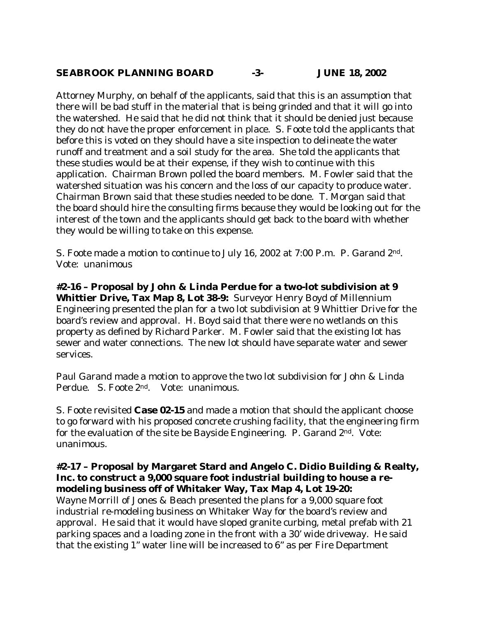### **SEABROOK PLANNING BOARD -3- JUNE 18, 2002**

Attorney Murphy, on behalf of the applicants, said that this is an assumption that there will be bad stuff in the material that is being grinded and that it will go into the watershed. He said that he did not think that it should be denied just because they do not have the proper enforcement in place. S. Foote told the applicants that before this is voted on they should have a site inspection to delineate the water runoff and treatment and a soil study for the area. She told the applicants that these studies would be at their expense, if they wish to continue with this application. Chairman Brown polled the board members. M. Fowler said that the watershed situation was his concern and the loss of our capacity to produce water. Chairman Brown said that these studies needed to be done. T. Morgan said that the board should hire the consulting firms because they would be looking out for the interest of the town and the applicants should get back to the board with whether they would be willing to take on this expense.

S. Foote made a motion to continue to July 16, 2002 at 7:00 P.m. P. Garand 2nd. Vote: unanimous

**#2-16 – Proposal by John & Linda Perdue for a two-lot subdivision at 9 Whittier Drive, Tax Map 8, Lot 38-9:** Surveyor Henry Boyd of Millennium Engineering presented the plan for a two lot subdivision at 9 Whittier Drive for the board's review and approval. H. Boyd said that there were no wetlands on this property as defined by Richard Parker. M. Fowler said that the existing lot has sewer and water connections. The new lot should have separate water and sewer services.

Paul Garand made a motion to approve the two lot subdivision for John & Linda Perdue. S. Foote 2nd. Vote: unanimous.

S. Foote revisited **Case 02-15** and made a motion that should the applicant choose to go forward with his proposed concrete crushing facility, that the engineering firm for the evaluation of the site be Bayside Engineering. P. Garand 2nd. Vote: unanimous.

#### **#2-17 – Proposal by Margaret Stard and Angelo C. Didio Building & Realty, Inc. to construct a 9,000 square foot industrial building to house a remodeling business off of Whitaker Way, Tax Map 4, Lot 19-20:**

Wayne Morrill of Jones & Beach presented the plans for a 9,000 square foot industrial re-modeling business on Whitaker Way for the board's review and approval. He said that it would have sloped granite curbing, metal prefab with 21 parking spaces and a loading zone in the front with a 30' wide driveway. He said that the existing 1" water line will be increased to 6" as per Fire Department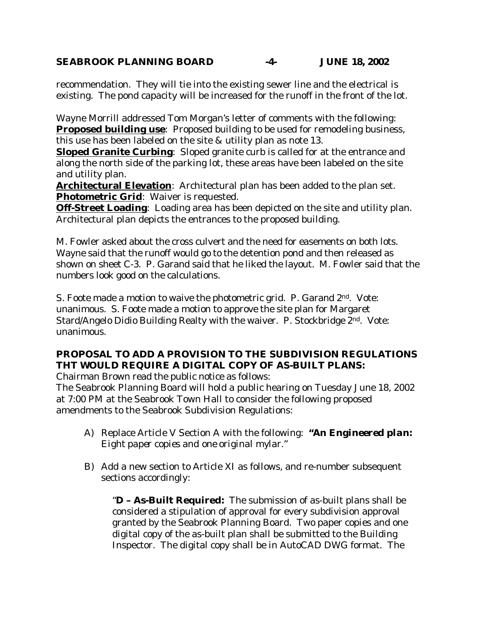# **SEABROOK PLANNING BOARD -4- JUNE 18, 2002**

recommendation. They will tie into the existing sewer line and the electrical is existing. The pond capacity will be increased for the runoff in the front of the lot.

Wayne Morrill addressed Tom Morgan's letter of comments with the following: **Proposed building use**: Proposed building to be used for remodeling business, this use has been labeled on the site & utility plan as note 13.

**Sloped Granite Curbing**: Sloped granite curb is called for at the entrance and along the north side of the parking lot, these areas have been labeled on the site and utility plan.

**Architectural Elevation**: Architectural plan has been added to the plan set. **Photometric Grid**: Waiver is requested.

**Off-Street Loading**: Loading area has been depicted on the site and utility plan. Architectural plan depicts the entrances to the proposed building.

M. Fowler asked about the cross culvert and the need for easements on both lots. Wayne said that the runoff would go to the detention pond and then released as shown on sheet C-3. P. Garand said that he liked the layout. M. Fowler said that the numbers look good on the calculations.

S. Foote made a motion to waive the photometric grid. P. Garand 2nd. Vote: unanimous. S. Foote made a motion to approve the site plan for Margaret Stard/Angelo Didio Building Realty with the waiver. P. Stockbridge 2nd. Vote: unanimous.

# **PROPOSAL TO ADD A PROVISION TO THE SUBDIVISION REGULATIONS THT WOULD REQUIRE A DIGITAL COPY OF AS-BUILT PLANS:**

Chairman Brown read the public notice as follows:

The Seabrook Planning Board will hold a public hearing on Tuesday June 18, 2002 at 7:00 PM at the Seabrook Town Hall to consider the following proposed amendments to the Seabrook Subdivision Regulations:

- *A)* Replace Article V Section A with the following*: "An Engineered plan: Eight paper copies and one original mylar."*
- B) Add a new section to Article XI as follows, and re-number subsequent sections accordingly:

"**D – As-Built Required:** The submission of as-built plans shall be considered a stipulation of approval for every subdivision approval granted by the Seabrook Planning Board. Two paper copies and one digital copy of the as-built plan shall be submitted to the Building Inspector. The digital copy shall be in AutoCAD DWG format. The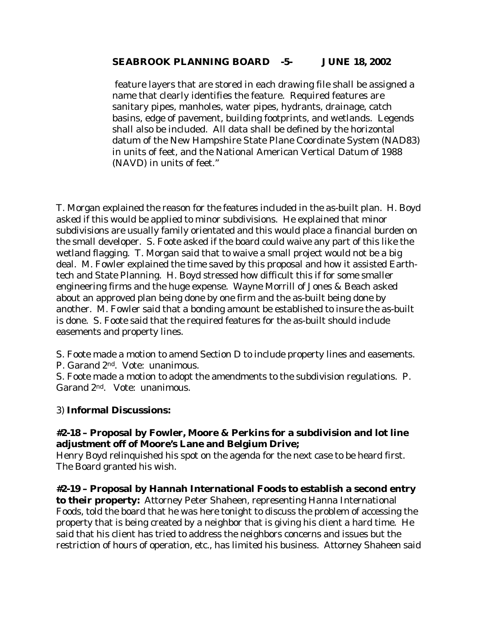# **SEABROOK PLANNING BOARD -5- JUNE 18, 2002**

 feature layers that are stored in each drawing file shall be assigned a name that clearly identifies the feature. Required features are sanitary pipes, manholes, water pipes, hydrants, drainage, catch basins, edge of pavement, building footprints, and wetlands. Legends shall also be included. All data shall be defined by the horizontal datum of the New Hampshire State Plane Coordinate System (NAD83) in units of feet, and the National American Vertical Datum of 1988 (NAVD) in units of feet."

T. Morgan explained the reason for the features included in the as-built plan. H. Boyd asked if this would be applied to minor subdivisions. He explained that minor subdivisions are usually family orientated and this would place a financial burden on the small developer. S. Foote asked if the board could waive any part of this like the wetland flagging. T. Morgan said that to waive a small project would not be a big deal. M. Fowler explained the time saved by this proposal and how it assisted Earthtech and State Planning. H. Boyd stressed how difficult this if for some smaller engineering firms and the huge expense. Wayne Morrill of Jones & Beach asked about an approved plan being done by one firm and the as-built being done by another. M. Fowler said that a bonding amount be established to insure the as-built is done. S. Foote said that the required features for the as-built should include easements and property lines.

S. Foote made a motion to amend Section D to include property lines and easements.

P. Garand 2nd. Vote: unanimous.

S. Foote made a motion to adopt the amendments to the subdivision regulations. P. Garand 2nd. Vote: unanimous.

# 3) **Informal Discussions:**

# **#2-18 – Proposal by Fowler, Moore & Perkins for a subdivision and lot line adjustment off of Moore's Lane and Belgium Drive;**

Henry Boyd relinquished his spot on the agenda for the next case to be heard first. The Board granted his wish.

**#2-19 – Proposal by Hannah International Foods to establish a second entry to their property:** Attorney Peter Shaheen, representing Hanna International Foods, told the board that he was here tonight to discuss the problem of accessing the property that is being created by a neighbor that is giving his client a hard time. He said that his client has tried to address the neighbors concerns and issues but the restriction of hours of operation, etc., has limited his business. Attorney Shaheen said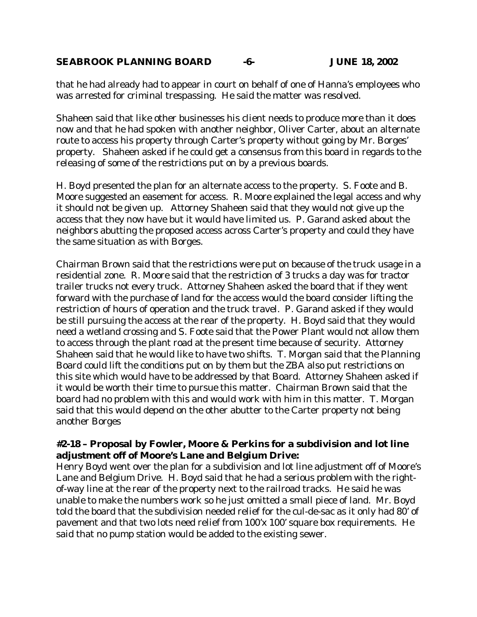# **SEABROOK PLANNING BOARD -6- JUNE 18, 2002**

that he had already had to appear in court on behalf of one of Hanna's employees who was arrested for criminal trespassing. He said the matter was resolved.

Shaheen said that like other businesses his client needs to produce more than it does now and that he had spoken with another neighbor, Oliver Carter, about an alternate route to access his property through Carter's property without going by Mr. Borges' property. Shaheen asked if he could get a consensus from this board in regards to the releasing of some of the restrictions put on by a previous boards.

H. Boyd presented the plan for an alternate access to the property. S. Foote and B. Moore suggested an easement for access. R. Moore explained the legal access and why it should not be given up. Attorney Shaheen said that they would not give up the access that they now have but it would have limited us. P. Garand asked about the neighbors abutting the proposed access across Carter's property and could they have the same situation as with Borges.

Chairman Brown said that the restrictions were put on because of the truck usage in a residential zone. R. Moore said that the restriction of 3 trucks a day was for tractor trailer trucks not every truck. Attorney Shaheen asked the board that if they went forward with the purchase of land for the access would the board consider lifting the restriction of hours of operation and the truck travel. P. Garand asked if they would be still pursuing the access at the rear of the property. H. Boyd said that they would need a wetland crossing and S. Foote said that the Power Plant would not allow them to access through the plant road at the present time because of security. Attorney Shaheen said that he would like to have two shifts. T. Morgan said that the Planning Board could lift the conditions put on by them but the ZBA also put restrictions on this site which would have to be addressed by that Board. Attorney Shaheen asked if it would be worth their time to pursue this matter. Chairman Brown said that the board had no problem with this and would work with him in this matter. T. Morgan said that this would depend on the other abutter to the Carter property not being another Borges

# **#2-18 – Proposal by Fowler, Moore & Perkins for a subdivision and lot line adjustment off of Moore's Lane and Belgium Drive:**

Henry Boyd went over the plan for a subdivision and lot line adjustment off of Moore's Lane and Belgium Drive. H. Boyd said that he had a serious problem with the rightof-way line at the rear of the property next to the railroad tracks. He said he was unable to make the numbers work so he just omitted a small piece of land. Mr. Boyd told the board that the subdivision needed relief for the cul-de-sac as it only had 80' of pavement and that two lots need relief from 100'x 100' square box requirements. He said that no pump station would be added to the existing sewer.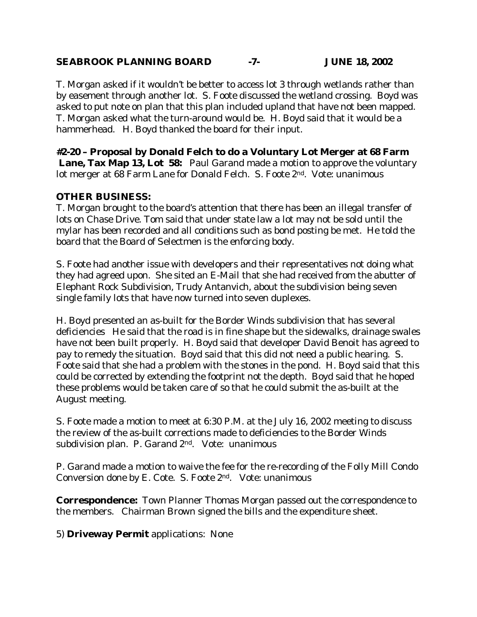# **SEABROOK PLANNING BOARD -7- JUNE 18, 2002**

T. Morgan asked if it wouldn't be better to access lot 3 through wetlands rather than by easement through another lot. S. Foote discussed the wetland crossing. Boyd was asked to put note on plan that this plan included upland that have not been mapped. T. Morgan asked what the turn-around would be. H. Boyd said that it would be a hammerhead. H. Boyd thanked the board for their input.

**#2-20 – Proposal by Donald Felch to do a Voluntary Lot Merger at 68 Farm Lane, Tax Map 13, Lot 58:** Paul Garand made a motion to approve the voluntary lot merger at 68 Farm Lane for Donald Felch. S. Foote 2nd. Vote: unanimous

# **OTHER BUSINESS:**

T. Morgan brought to the board's attention that there has been an illegal transfer of lots on Chase Drive. Tom said that under state law a lot may not be sold until the mylar has been recorded and all conditions such as bond posting be met. He told the board that the Board of Selectmen is the enforcing body.

S. Foote had another issue with developers and their representatives not doing what they had agreed upon. She sited an E-Mail that she had received from the abutter of Elephant Rock Subdivision, Trudy Antanvich, about the subdivision being seven single family lots that have now turned into seven duplexes.

H. Boyd presented an as-built for the Border Winds subdivision that has several deficiencies He said that the road is in fine shape but the sidewalks, drainage swales have not been built properly. H. Boyd said that developer David Benoit has agreed to pay to remedy the situation. Boyd said that this did not need a public hearing. S. Foote said that she had a problem with the stones in the pond. H. Boyd said that this could be corrected by extending the footprint not the depth. Boyd said that he hoped these problems would be taken care of so that he could submit the as-built at the August meeting.

S. Foote made a motion to meet at 6:30 P.M. at the July 16, 2002 meeting to discuss the review of the as-built corrections made to deficiencies to the Border Winds subdivision plan. P. Garand 2nd. Vote: unanimous

P. Garand made a motion to waive the fee for the re-recording of the Folly Mill Condo Conversion done by E. Cote. S. Foote 2nd. Vote: unanimous

**Correspondence:** Town Planner Thomas Morgan passed out the correspondence to the members. Chairman Brown signed the bills and the expenditure sheet.

5) **Driveway Permit** applications: None